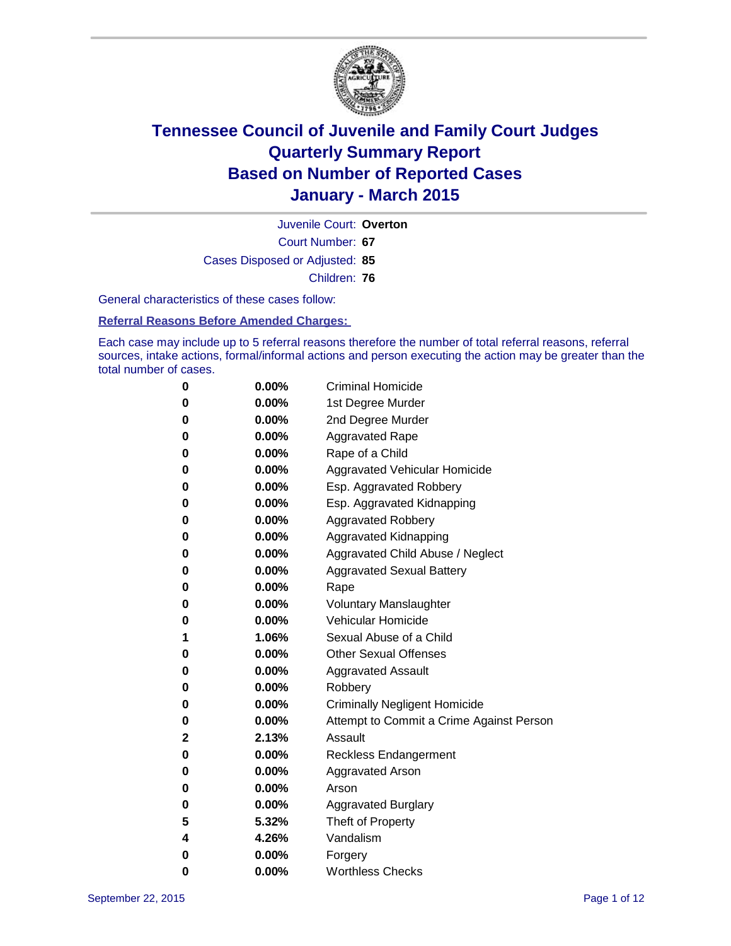

Court Number: **67** Juvenile Court: **Overton** Cases Disposed or Adjusted: **85** Children: **76**

General characteristics of these cases follow:

### **Referral Reasons Before Amended Charges:**

Each case may include up to 5 referral reasons therefore the number of total referral reasons, referral sources, intake actions, formal/informal actions and person executing the action may be greater than the total number of cases.

| 0           | 0.00%    | <b>Criminal Homicide</b>                 |
|-------------|----------|------------------------------------------|
| $\bf{0}$    | $0.00\%$ | 1st Degree Murder                        |
| $\bf{0}$    | $0.00\%$ | 2nd Degree Murder                        |
| 0           | $0.00\%$ | <b>Aggravated Rape</b>                   |
| 0           | $0.00\%$ | Rape of a Child                          |
| 0           | $0.00\%$ | Aggravated Vehicular Homicide            |
| 0           | 0.00%    | Esp. Aggravated Robbery                  |
| 0           | $0.00\%$ | Esp. Aggravated Kidnapping               |
| 0           | $0.00\%$ | <b>Aggravated Robbery</b>                |
| 0           | $0.00\%$ | Aggravated Kidnapping                    |
| 0           | $0.00\%$ | Aggravated Child Abuse / Neglect         |
| $\bf{0}$    | 0.00%    | <b>Aggravated Sexual Battery</b>         |
| $\bf{0}$    | $0.00\%$ | Rape                                     |
| 0           | $0.00\%$ | <b>Voluntary Manslaughter</b>            |
| 0           | $0.00\%$ | <b>Vehicular Homicide</b>                |
| 1           | 1.06%    | Sexual Abuse of a Child                  |
| $\bf{0}$    | $0.00\%$ | <b>Other Sexual Offenses</b>             |
| 0           | 0.00%    | <b>Aggravated Assault</b>                |
| 0           | $0.00\%$ | Robbery                                  |
| 0           | $0.00\%$ | <b>Criminally Negligent Homicide</b>     |
| 0           | $0.00\%$ | Attempt to Commit a Crime Against Person |
| $\mathbf 2$ | 2.13%    | Assault                                  |
| 0           | $0.00\%$ | <b>Reckless Endangerment</b>             |
| 0           | $0.00\%$ | <b>Aggravated Arson</b>                  |
| $\bf{0}$    | $0.00\%$ | Arson                                    |
| $\bf{0}$    | $0.00\%$ | <b>Aggravated Burglary</b>               |
| 5           | 5.32%    | Theft of Property                        |
| 4           | 4.26%    | Vandalism                                |
| $\bf{0}$    | $0.00\%$ | Forgery                                  |
| 0           | 0.00%    | <b>Worthless Checks</b>                  |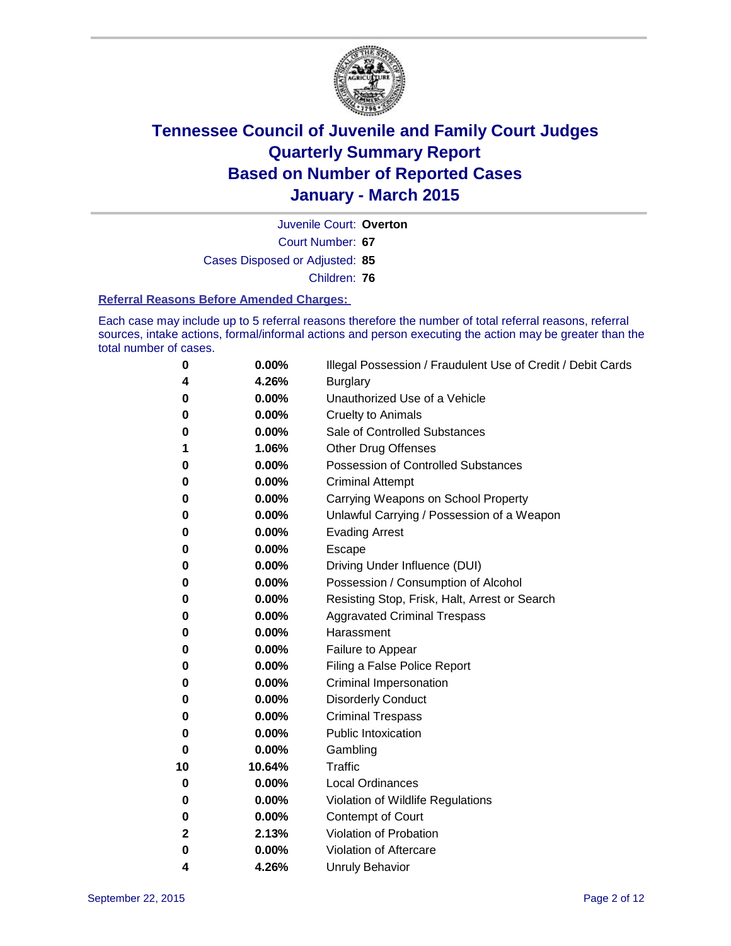

Court Number: **67** Juvenile Court: **Overton** Cases Disposed or Adjusted: **85** Children: **76**

#### **Referral Reasons Before Amended Charges:**

Each case may include up to 5 referral reasons therefore the number of total referral reasons, referral sources, intake actions, formal/informal actions and person executing the action may be greater than the total number of cases.

| 0        | 0.00%  | Illegal Possession / Fraudulent Use of Credit / Debit Cards |
|----------|--------|-------------------------------------------------------------|
| 4        | 4.26%  | <b>Burglary</b>                                             |
| 0        | 0.00%  | Unauthorized Use of a Vehicle                               |
| 0        | 0.00%  | <b>Cruelty to Animals</b>                                   |
| 0        | 0.00%  | Sale of Controlled Substances                               |
| 1        | 1.06%  | <b>Other Drug Offenses</b>                                  |
| 0        | 0.00%  | <b>Possession of Controlled Substances</b>                  |
| 0        | 0.00%  | <b>Criminal Attempt</b>                                     |
| 0        | 0.00%  | Carrying Weapons on School Property                         |
| 0        | 0.00%  | Unlawful Carrying / Possession of a Weapon                  |
| 0        | 0.00%  | <b>Evading Arrest</b>                                       |
| 0        | 0.00%  | Escape                                                      |
| 0        | 0.00%  | Driving Under Influence (DUI)                               |
| 0        | 0.00%  | Possession / Consumption of Alcohol                         |
| 0        | 0.00%  | Resisting Stop, Frisk, Halt, Arrest or Search               |
| 0        | 0.00%  | <b>Aggravated Criminal Trespass</b>                         |
| 0        | 0.00%  | Harassment                                                  |
| 0        | 0.00%  | Failure to Appear                                           |
| 0        | 0.00%  | Filing a False Police Report                                |
| 0        | 0.00%  | <b>Criminal Impersonation</b>                               |
| 0        | 0.00%  | <b>Disorderly Conduct</b>                                   |
| 0        | 0.00%  | <b>Criminal Trespass</b>                                    |
| 0        | 0.00%  | <b>Public Intoxication</b>                                  |
| $\bf{0}$ | 0.00%  | Gambling                                                    |
| 10       | 10.64% | <b>Traffic</b>                                              |
| 0        | 0.00%  | <b>Local Ordinances</b>                                     |
| 0        | 0.00%  | Violation of Wildlife Regulations                           |
| 0        | 0.00%  | Contempt of Court                                           |
| 2        | 2.13%  | Violation of Probation                                      |
| 0        | 0.00%  | Violation of Aftercare                                      |
| 4        | 4.26%  | <b>Unruly Behavior</b>                                      |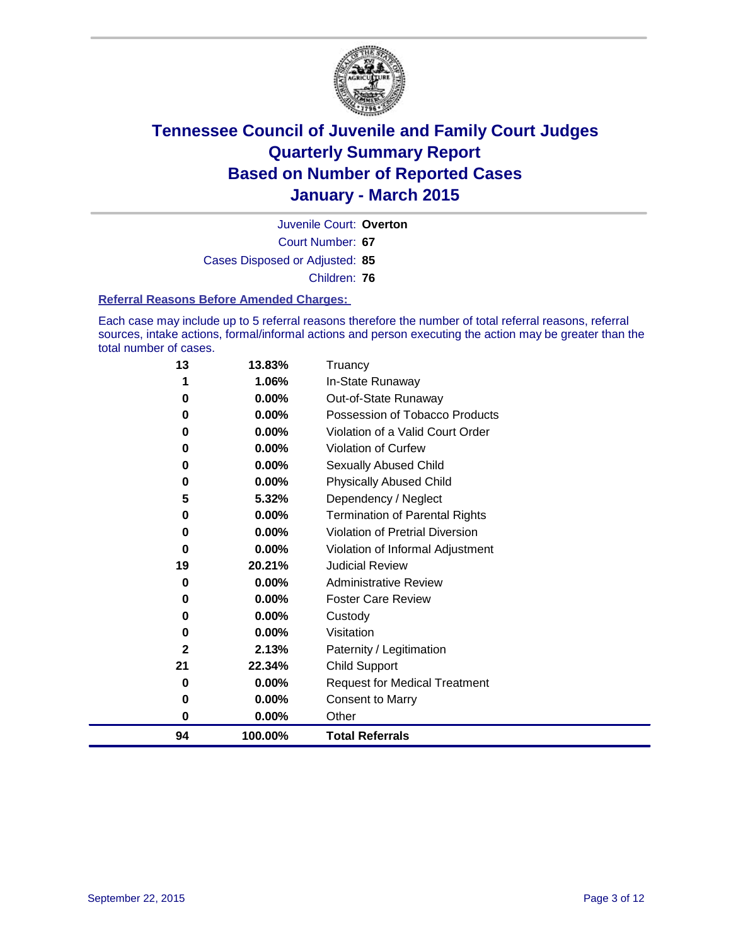

Court Number: **67** Juvenile Court: **Overton** Cases Disposed or Adjusted: **85** Children: **76**

#### **Referral Reasons Before Amended Charges:**

Each case may include up to 5 referral reasons therefore the number of total referral reasons, referral sources, intake actions, formal/informal actions and person executing the action may be greater than the total number of cases.

| 13 | 13.83%  | Truancy                               |
|----|---------|---------------------------------------|
| 1  | 1.06%   | In-State Runaway                      |
| 0  | 0.00%   | Out-of-State Runaway                  |
| 0  | 0.00%   | Possession of Tobacco Products        |
| 0  | 0.00%   | Violation of a Valid Court Order      |
| 0  | 0.00%   | <b>Violation of Curfew</b>            |
| 0  | 0.00%   | Sexually Abused Child                 |
| 0  | 0.00%   | <b>Physically Abused Child</b>        |
| 5  | 5.32%   | Dependency / Neglect                  |
| 0  | 0.00%   | <b>Termination of Parental Rights</b> |
| 0  | 0.00%   | Violation of Pretrial Diversion       |
| 0  | 0.00%   | Violation of Informal Adjustment      |
| 19 | 20.21%  | <b>Judicial Review</b>                |
| 0  | 0.00%   | <b>Administrative Review</b>          |
| 0  | 0.00%   | <b>Foster Care Review</b>             |
| 0  | 0.00%   | Custody                               |
| 0  | 0.00%   | Visitation                            |
| 2  | 2.13%   | Paternity / Legitimation              |
| 21 | 22.34%  | <b>Child Support</b>                  |
| 0  | 0.00%   | <b>Request for Medical Treatment</b>  |
| 0  | 0.00%   | Consent to Marry                      |
| 0  | 0.00%   | Other                                 |
| 94 | 100.00% | <b>Total Referrals</b>                |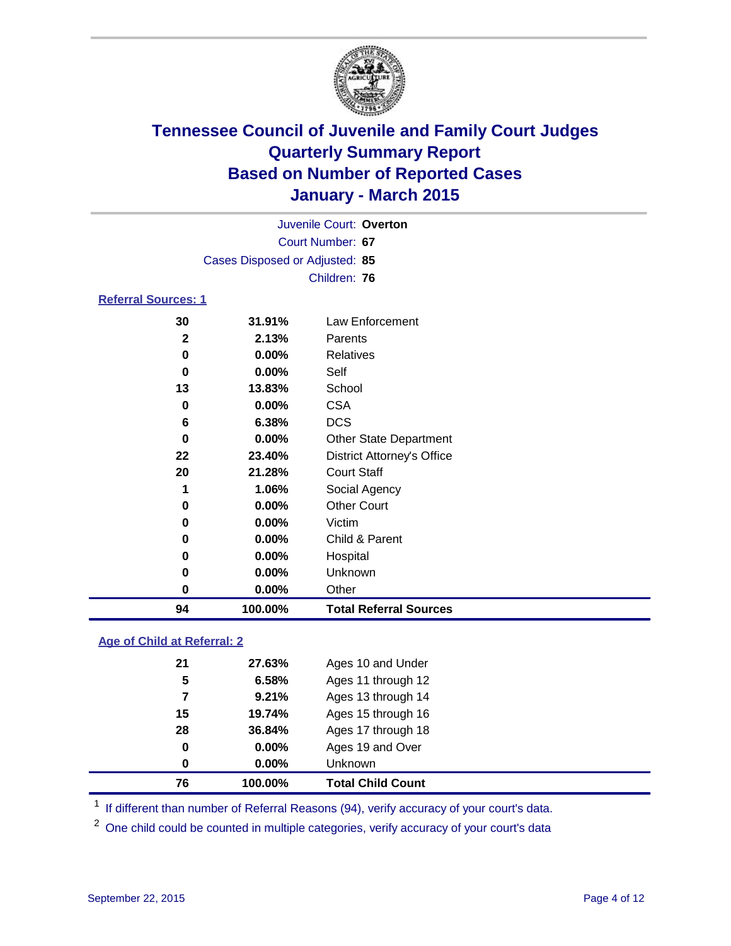

|                            | Juvenile Court: Overton        |                   |
|----------------------------|--------------------------------|-------------------|
|                            | Court Number: 67               |                   |
|                            | Cases Disposed or Adjusted: 85 |                   |
|                            | Children: 76                   |                   |
| <b>Referral Sources: 1</b> |                                |                   |
| ົ                          | <b>04.040/</b>                 | Laur Enfarazional |

### **31.91%** Law Enforcement **2.13%** Parents **0.00%** Relatives **0.00%** Self **13.83%** School **0.00%** CSA **6.38%** DCS **0.00%** Other State Department **23.40%** District Attorney's Office **21.28%** Court Staff **1.06%** Social Agency **0.00%** Other Court **0.00%** Victim **0.00%** Child & Parent **0.00%** Hospital **0.00%** Unknown **0.00%** Other **100.00% Total Referral Sources**

### **Age of Child at Referral: 2**

| 76 | 100.00%  | <b>Total Child Count</b> |
|----|----------|--------------------------|
| 0  | $0.00\%$ | <b>Unknown</b>           |
| 0  | $0.00\%$ | Ages 19 and Over         |
| 28 | 36.84%   | Ages 17 through 18       |
| 15 | 19.74%   | Ages 15 through 16       |
| 7  | 9.21%    | Ages 13 through 14       |
| 5  | 6.58%    | Ages 11 through 12       |
| 21 | 27.63%   | Ages 10 and Under        |

<sup>1</sup> If different than number of Referral Reasons (94), verify accuracy of your court's data.

<sup>2</sup> One child could be counted in multiple categories, verify accuracy of your court's data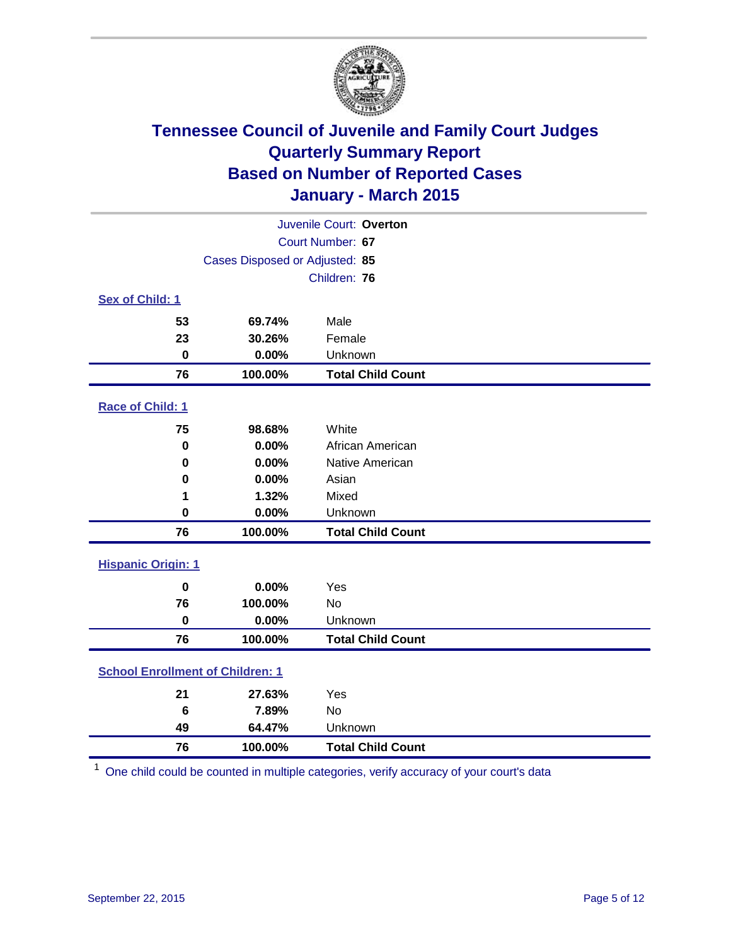

|                                         |                                | Juvenile Court: Overton  |
|-----------------------------------------|--------------------------------|--------------------------|
|                                         |                                | Court Number: 67         |
|                                         | Cases Disposed or Adjusted: 85 |                          |
|                                         |                                | Children: 76             |
| <b>Sex of Child: 1</b>                  |                                |                          |
| 53                                      | 69.74%                         | Male                     |
| 23                                      | 30.26%                         | Female                   |
| $\bf{0}$                                | 0.00%                          | Unknown                  |
| 76                                      | 100.00%                        | <b>Total Child Count</b> |
| Race of Child: 1                        |                                |                          |
| 75                                      | 98.68%                         | White                    |
| $\mathbf 0$                             | 0.00%                          | African American         |
| $\bf{0}$                                | 0.00%                          | Native American          |
| 0                                       | 0.00%                          | Asian                    |
| 1                                       | 1.32%                          | Mixed                    |
| $\bf{0}$                                | 0.00%                          | Unknown                  |
| 76                                      | 100.00%                        | <b>Total Child Count</b> |
| <b>Hispanic Origin: 1</b>               |                                |                          |
| $\mathbf 0$                             | 0.00%                          | Yes                      |
| 76                                      | 100.00%                        | No                       |
| $\bf{0}$                                | 0.00%                          | Unknown                  |
| 76                                      | 100.00%                        | <b>Total Child Count</b> |
| <b>School Enrollment of Children: 1</b> |                                |                          |
| 21                                      | 27.63%                         | Yes                      |
| $6\phantom{1}6$                         | 7.89%                          | No                       |
| 49                                      | 64.47%                         | Unknown                  |
| 76                                      | 100.00%                        | <b>Total Child Count</b> |

One child could be counted in multiple categories, verify accuracy of your court's data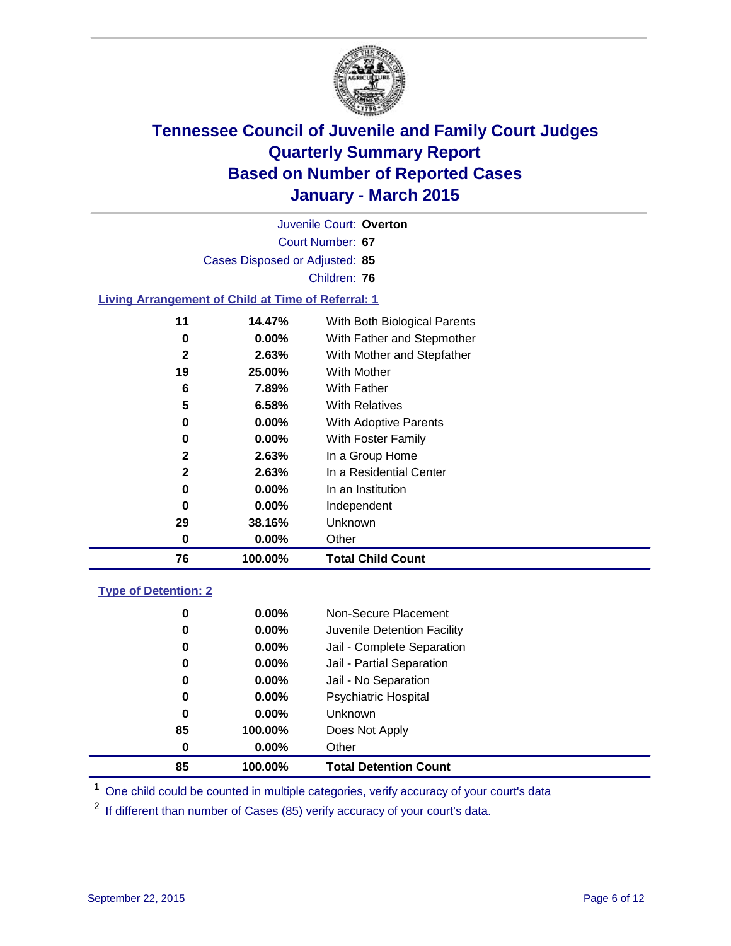

Court Number: **67** Juvenile Court: **Overton** Cases Disposed or Adjusted: **85** Children: **76**

### **Living Arrangement of Child at Time of Referral: 1**

| 11           | 14.47%   | With Both Biological Parents |
|--------------|----------|------------------------------|
| 0            | $0.00\%$ | With Father and Stepmother   |
| $\mathbf{2}$ | 2.63%    | With Mother and Stepfather   |
| 19           | 25.00%   | With Mother                  |
| 6            | 7.89%    | With Father                  |
| 5            | 6.58%    | With Relatives               |
| 0            | 0.00%    | With Adoptive Parents        |
| 0            | $0.00\%$ | With Foster Family           |
| $\mathbf{2}$ | 2.63%    | In a Group Home              |
| $\mathbf{2}$ | 2.63%    | In a Residential Center      |
| 0            | 0.00%    | In an Institution            |
| 0            | 0.00%    | Independent                  |
| 29           | 38.16%   | Unknown                      |
| 0            | 0.00%    | Other                        |
| 76           | 100.00%  | <b>Total Child Count</b>     |

### **Type of Detention: 2**

| 85 | 100.00%  | <b>Total Detention Count</b> |
|----|----------|------------------------------|
| 0  | $0.00\%$ | Other                        |
| 85 | 100.00%  | Does Not Apply               |
| 0  | $0.00\%$ | <b>Unknown</b>               |
| 0  | $0.00\%$ | <b>Psychiatric Hospital</b>  |
| 0  | 0.00%    | Jail - No Separation         |
| 0  | 0.00%    | Jail - Partial Separation    |
| 0  | $0.00\%$ | Jail - Complete Separation   |
| 0  | $0.00\%$ | Juvenile Detention Facility  |
| 0  | $0.00\%$ | Non-Secure Placement         |

<sup>1</sup> One child could be counted in multiple categories, verify accuracy of your court's data

If different than number of Cases (85) verify accuracy of your court's data.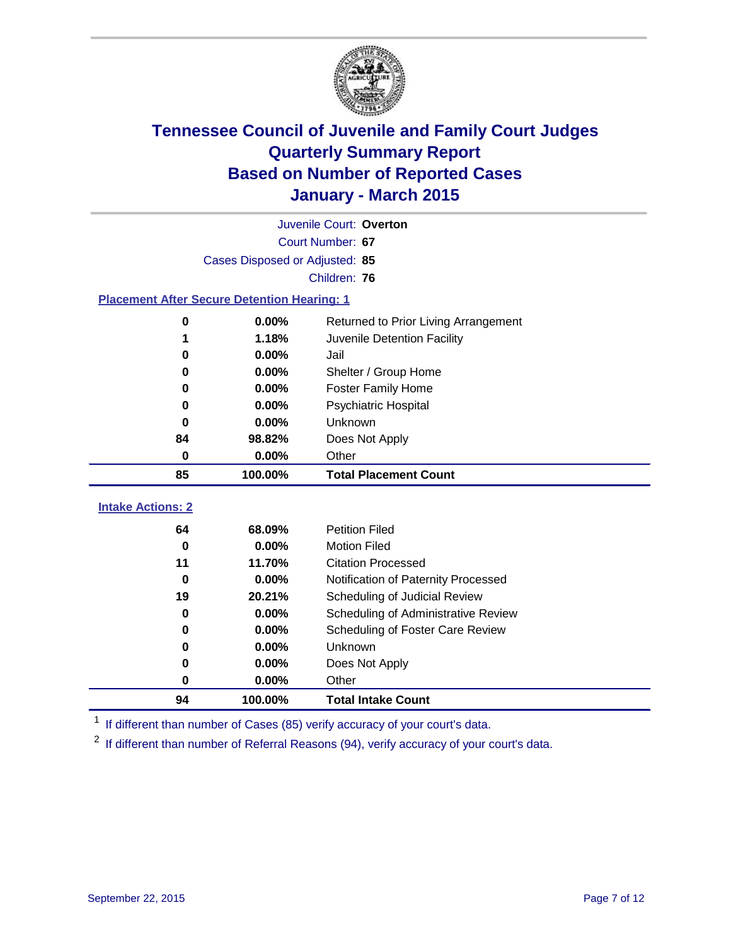

|                                                    | Juvenile Court: Overton        |                                      |  |  |  |
|----------------------------------------------------|--------------------------------|--------------------------------------|--|--|--|
|                                                    |                                | Court Number: 67                     |  |  |  |
|                                                    | Cases Disposed or Adjusted: 85 |                                      |  |  |  |
|                                                    | Children: 76                   |                                      |  |  |  |
| <b>Placement After Secure Detention Hearing: 1</b> |                                |                                      |  |  |  |
| 0                                                  | $0.00\%$                       | Returned to Prior Living Arrangement |  |  |  |
| 1                                                  | 1.18%                          | Juvenile Detention Facility          |  |  |  |
| 0                                                  | $0.00\%$                       | Jail                                 |  |  |  |
| 0                                                  | $0.00\%$                       | Shelter / Group Home                 |  |  |  |
| 0                                                  | $0.00\%$                       | <b>Foster Family Home</b>            |  |  |  |
| 0                                                  | 0.00%                          | Psychiatric Hospital                 |  |  |  |
| 0                                                  | $0.00\%$                       | <b>Unknown</b>                       |  |  |  |
| 84                                                 | 98.82%                         | Does Not Apply                       |  |  |  |
| $\bf{0}$                                           | 0.00%                          | Other                                |  |  |  |
| 85                                                 | 100.00%                        | <b>Total Placement Count</b>         |  |  |  |
| <b>Intake Actions: 2</b>                           |                                |                                      |  |  |  |
| 64                                                 | 68.09%                         | <b>Petition Filed</b>                |  |  |  |
| 0                                                  | 0.00%                          | <b>Motion Filed</b>                  |  |  |  |
| 11                                                 | 11.70%                         | <b>Citation Processed</b>            |  |  |  |
| $\bf{0}$                                           | $0.00\%$                       | Notification of Paternity Processed  |  |  |  |
| 19                                                 | 20.21%                         | Scheduling of Judicial Review        |  |  |  |
| 0                                                  | $0.00\%$                       | Scheduling of Administrative Review  |  |  |  |
| 0                                                  | 0.00%                          | Scheduling of Foster Care Review     |  |  |  |
| 0                                                  | 0.00%                          | Unknown                              |  |  |  |

<sup>1</sup> If different than number of Cases (85) verify accuracy of your court's data.

**0.00%** Does Not Apply

**100.00% Total Intake Count**

**0.00%** Other

<sup>2</sup> If different than number of Referral Reasons (94), verify accuracy of your court's data.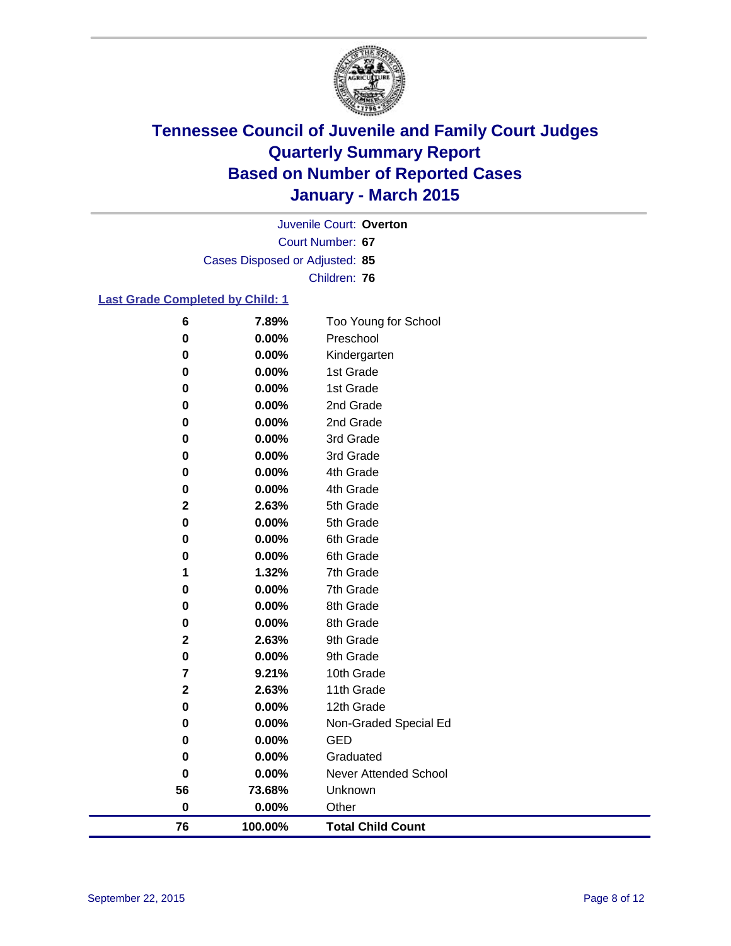

Court Number: **67** Juvenile Court: **Overton** Cases Disposed or Adjusted: **85** Children: **76**

### **Last Grade Completed by Child: 1**

| 6                       | 7.89%   | Too Young for School     |
|-------------------------|---------|--------------------------|
| $\bf{0}$                | 0.00%   | Preschool                |
| 0                       | 0.00%   | Kindergarten             |
| 0                       | 0.00%   | 1st Grade                |
| 0                       | 0.00%   | 1st Grade                |
| 0                       | 0.00%   | 2nd Grade                |
| 0                       | 0.00%   | 2nd Grade                |
| 0                       | 0.00%   | 3rd Grade                |
| 0                       | 0.00%   | 3rd Grade                |
| 0                       | 0.00%   | 4th Grade                |
| 0                       | 0.00%   | 4th Grade                |
| $\mathbf 2$             | 2.63%   | 5th Grade                |
| $\pmb{0}$               | 0.00%   | 5th Grade                |
| 0                       | 0.00%   | 6th Grade                |
| 0                       | 0.00%   | 6th Grade                |
| 1                       | 1.32%   | 7th Grade                |
| $\pmb{0}$               | 0.00%   | 7th Grade                |
| 0                       | 0.00%   | 8th Grade                |
| 0                       | 0.00%   | 8th Grade                |
| $\overline{\mathbf{2}}$ | 2.63%   | 9th Grade                |
| 0                       | 0.00%   | 9th Grade                |
| 7                       | 9.21%   | 10th Grade               |
| $\overline{\mathbf{2}}$ | 2.63%   | 11th Grade               |
| 0                       | 0.00%   | 12th Grade               |
| 0                       | 0.00%   | Non-Graded Special Ed    |
| 0                       | 0.00%   | <b>GED</b>               |
| 0                       | 0.00%   | Graduated                |
| $\pmb{0}$               | 0.00%   | Never Attended School    |
| 56                      | 73.68%  | Unknown                  |
| $\bf{0}$                | 0.00%   | Other                    |
| 76                      | 100.00% | <b>Total Child Count</b> |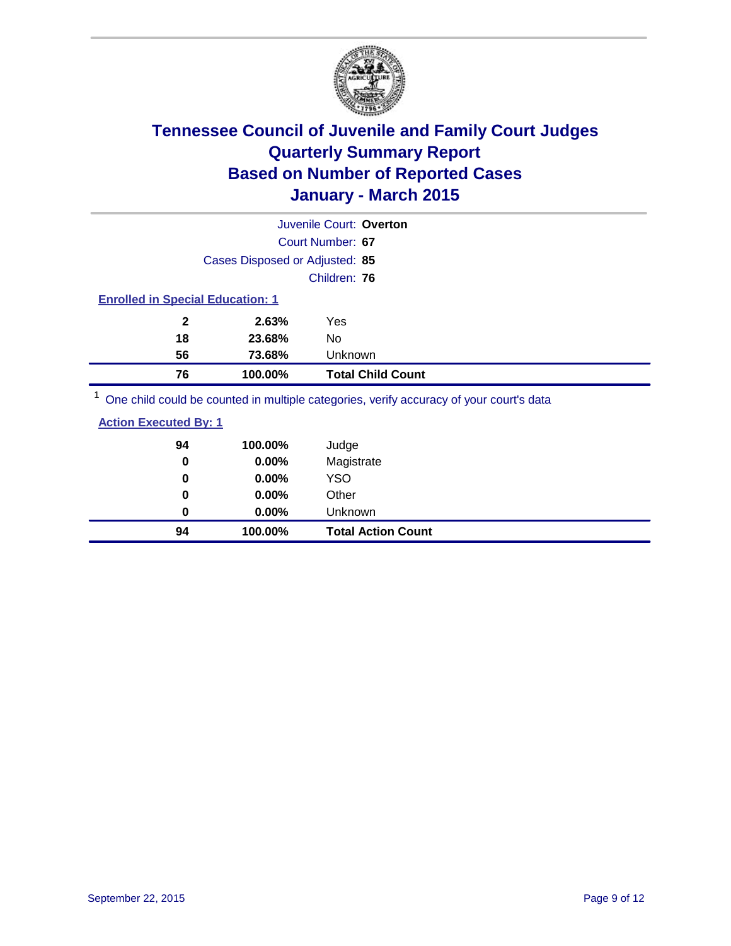

|                                         |                                | Juvenile Court: Overton  |
|-----------------------------------------|--------------------------------|--------------------------|
|                                         |                                | Court Number: 67         |
|                                         | Cases Disposed or Adjusted: 85 |                          |
|                                         |                                | Children: 76             |
| <b>Enrolled in Special Education: 1</b> |                                |                          |
| $\mathbf{2}$                            | 2.63%                          | Yes                      |
| 18                                      | 23.68%                         | No                       |
| 56                                      | 73.68%                         | <b>Unknown</b>           |
| 76                                      | 100.00%                        | <b>Total Child Count</b> |
| $1 -$                                   |                                |                          |

<sup>1</sup> One child could be counted in multiple categories, verify accuracy of your court's data

| <b>Action Executed By: 1</b> |
|------------------------------|
|------------------------------|

| 94<br>0  | 100.00%<br>0.00% | Judge<br>Magistrate       |
|----------|------------------|---------------------------|
| 0        | $0.00\%$         | <b>YSO</b>                |
| $\bf{0}$ | $0.00\%$         | Other                     |
| 0        | $0.00\%$         | Unknown                   |
| 94       | 100.00%          | <b>Total Action Count</b> |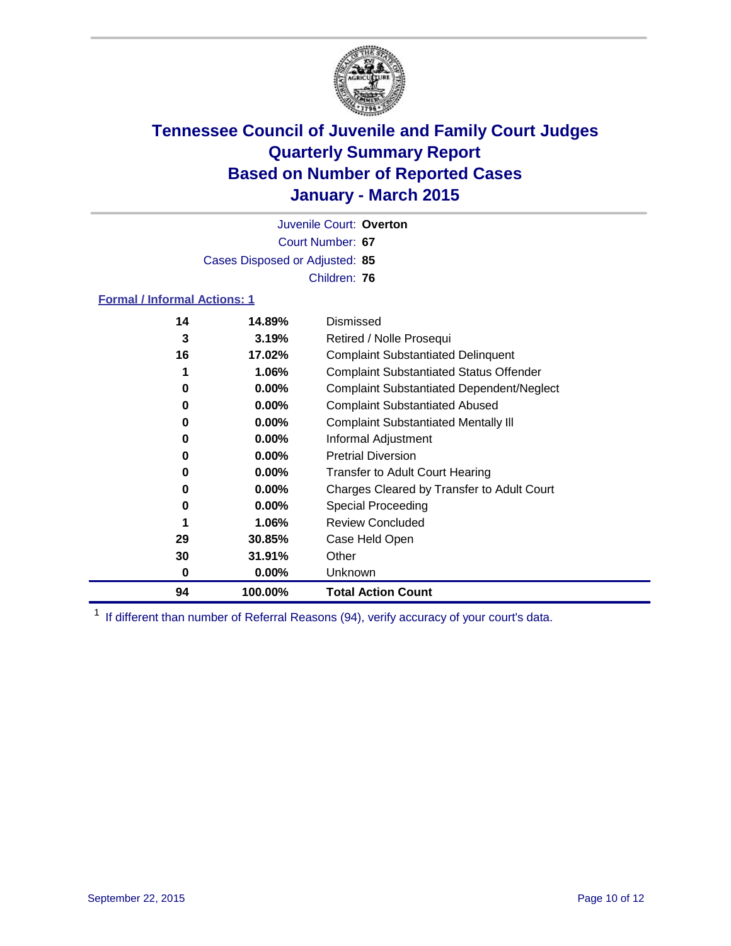

Court Number: **67** Juvenile Court: **Overton** Cases Disposed or Adjusted: **85** Children: **76**

### **Formal / Informal Actions: 1**

| 14 | 14.89%   | Dismissed                                        |
|----|----------|--------------------------------------------------|
| 3  | 3.19%    | Retired / Nolle Prosequi                         |
| 16 | 17.02%   | <b>Complaint Substantiated Delinquent</b>        |
| 1  | 1.06%    | <b>Complaint Substantiated Status Offender</b>   |
| 0  | $0.00\%$ | <b>Complaint Substantiated Dependent/Neglect</b> |
| 0  | $0.00\%$ | <b>Complaint Substantiated Abused</b>            |
| 0  | $0.00\%$ | <b>Complaint Substantiated Mentally III</b>      |
| 0  | $0.00\%$ | Informal Adjustment                              |
| 0  | $0.00\%$ | <b>Pretrial Diversion</b>                        |
| 0  | $0.00\%$ | <b>Transfer to Adult Court Hearing</b>           |
| 0  | $0.00\%$ | Charges Cleared by Transfer to Adult Court       |
| 0  | $0.00\%$ | <b>Special Proceeding</b>                        |
| 1  | 1.06%    | <b>Review Concluded</b>                          |
| 29 | 30.85%   | Case Held Open                                   |
| 30 | 31.91%   | Other                                            |
| 0  | $0.00\%$ | <b>Unknown</b>                                   |
| 94 | 100.00%  | <b>Total Action Count</b>                        |

<sup>1</sup> If different than number of Referral Reasons (94), verify accuracy of your court's data.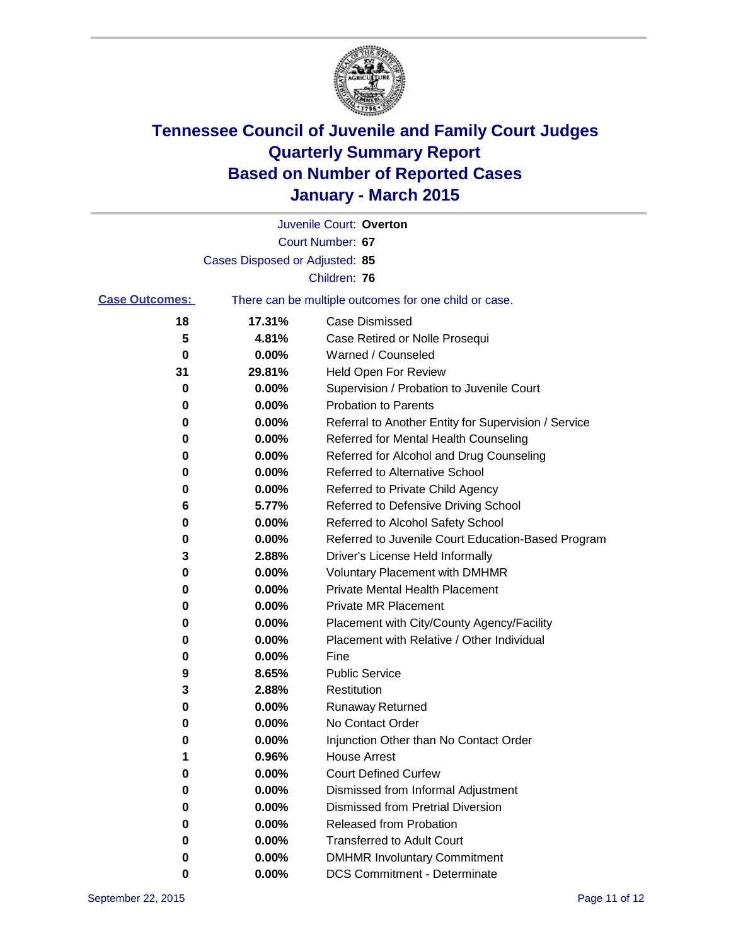

|                       |                                | Juvenile Court: Overton                               |
|-----------------------|--------------------------------|-------------------------------------------------------|
|                       |                                | Court Number: 67                                      |
|                       | Cases Disposed or Adjusted: 85 |                                                       |
|                       |                                | Children: 76                                          |
| <b>Case Outcomes:</b> |                                | There can be multiple outcomes for one child or case. |
| 18                    | 17.31%                         | <b>Case Dismissed</b>                                 |
| 5                     | 4.81%                          | Case Retired or Nolle Prosequi                        |
| 0                     | 0.00%                          | Warned / Counseled                                    |
| 31                    | 29.81%                         | Held Open For Review                                  |
| 0                     | 0.00%                          | Supervision / Probation to Juvenile Court             |
| 0                     | 0.00%                          | <b>Probation to Parents</b>                           |
| 0                     | 0.00%                          | Referral to Another Entity for Supervision / Service  |
| 0                     | 0.00%                          | Referred for Mental Health Counseling                 |
| 0                     | 0.00%                          | Referred for Alcohol and Drug Counseling              |
| 0                     | 0.00%                          | <b>Referred to Alternative School</b>                 |
| 0                     | 0.00%                          | Referred to Private Child Agency                      |
| 6                     | 5.77%                          | Referred to Defensive Driving School                  |
| 0                     | 0.00%                          | Referred to Alcohol Safety School                     |
| 0                     | 0.00%                          | Referred to Juvenile Court Education-Based Program    |
| 3                     | 2.88%                          | Driver's License Held Informally                      |
| 0                     | 0.00%                          | <b>Voluntary Placement with DMHMR</b>                 |
| 0                     | 0.00%                          | <b>Private Mental Health Placement</b>                |
| 0                     | 0.00%                          | <b>Private MR Placement</b>                           |
| 0                     | 0.00%                          | Placement with City/County Agency/Facility            |
| 0                     | 0.00%                          | Placement with Relative / Other Individual            |
| 0                     | 0.00%                          | Fine                                                  |
| 9                     | 8.65%                          | <b>Public Service</b>                                 |
| 3                     | 2.88%                          | Restitution                                           |
| 0                     | 0.00%                          | <b>Runaway Returned</b>                               |
| 0                     | 0.00%                          | No Contact Order                                      |
| 0                     | 0.00%                          | Injunction Other than No Contact Order                |
| 1                     | 0.96%                          | <b>House Arrest</b>                                   |
| 0                     | 0.00%                          | <b>Court Defined Curfew</b>                           |
| 0                     | 0.00%                          | Dismissed from Informal Adjustment                    |
| 0                     | 0.00%                          | <b>Dismissed from Pretrial Diversion</b>              |
| 0                     | 0.00%                          | Released from Probation                               |
| 0                     | 0.00%                          | <b>Transferred to Adult Court</b>                     |
| 0                     | 0.00%                          | <b>DMHMR Involuntary Commitment</b>                   |
| 0                     | $0.00\%$                       | <b>DCS Commitment - Determinate</b>                   |